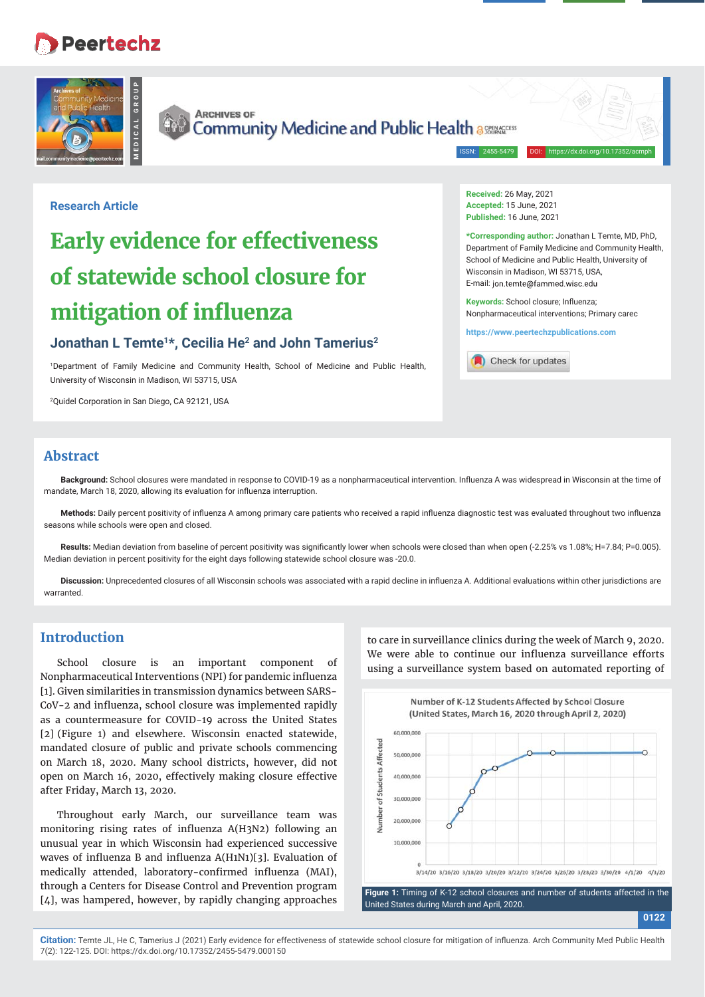## **Peertechz**





**ARCHIVES OF** Community Medicine and Public Health assessed

ISSN: 2455-5479

**Received:** 26 May, 2021 **Accepted:** 15 June, 2021 **Published:** 16 June, 2021

**\*Corresponding author:** Jonathan L Temte, MD, PhD, Department of Family Medicine and Community Health, School of Medicine and Public Health, University of

Wisconsin in Madison, WI 53715, USA, E-mail: ion temte@fammed wisc edu Keywords: School closure; Influenza; Nonpharmaceutical interventions; Primary carec **https://www.peertechzpublications.com**

Check for updates

#### **Research Article**

# **Early evidence for effectiveness of statewide school closure for mitigation of influenza**

## **Jonathan L Temte1\*, Cecilia He2 and John Tamerius2**

1 Department of Family Medicine and Community Health, School of Medicine and Public Health, University of Wisconsin in Madison, WI 53715, USA

2 Quidel Corporation in San Diego, CA 92121, USA

### **Abstract**

**Background:** School closures were mandated in response to COVID-19 as a nonpharmaceutical intervention. Influenza A was widespread in Wisconsin at the time of mandate, March 18, 2020, allowing its evaluation for influenza interruption.

Methods: Daily percent positivity of influenza A among primary care patients who received a rapid influenza diagnostic test was evaluated throughout two influenza seasons while schools were open and closed.

Results: Median deviation from baseline of percent positivity was significantly lower when schools were closed than when open (-2.25% vs 1.08%; H=7.84; P=0.005). Median deviation in percent positivity for the eight days following statewide school closure was -20.0.

Discussion: Unprecedented closures of all Wisconsin schools was associated with a rapid decline in influenza A. Additional evaluations within other jurisdictions are warranted.

#### **Introduction**

School closure is an important component of Nonpharmaceutical Interventions (NPI) for pandemic influenza [1]. Given similarities in transmission dynamics between SARS-CoV-2 and influenza, school closure was implemented rapidly as a countermeasure for COVID-19 across the United States [2] (Figure 1) and elsewhere. Wisconsin enacted statewide, mandated closure of public and private schools commencing on March 18, 2020. Many school districts, however, did not open on March 16, 2020, effectively making closure effective after Friday, March 13, 2020.

Throughout early March, our surveillance team was monitoring rising rates of influenza A(H3N2) following an unusual year in which Wisconsin had experienced successive waves of influenza B and influenza  $A(H1N1)[3]$ . Evaluation of medically attended, laboratory-confirmed influenza (MAI), through a Centers for Disease Control and Prevention program [4], was hampered, however, by rapidly changing approaches

to care in surveillance clinics during the week of March 9, 2020. We were able to continue our influenza surveillance efforts using a surveillance system based on automated reporting of

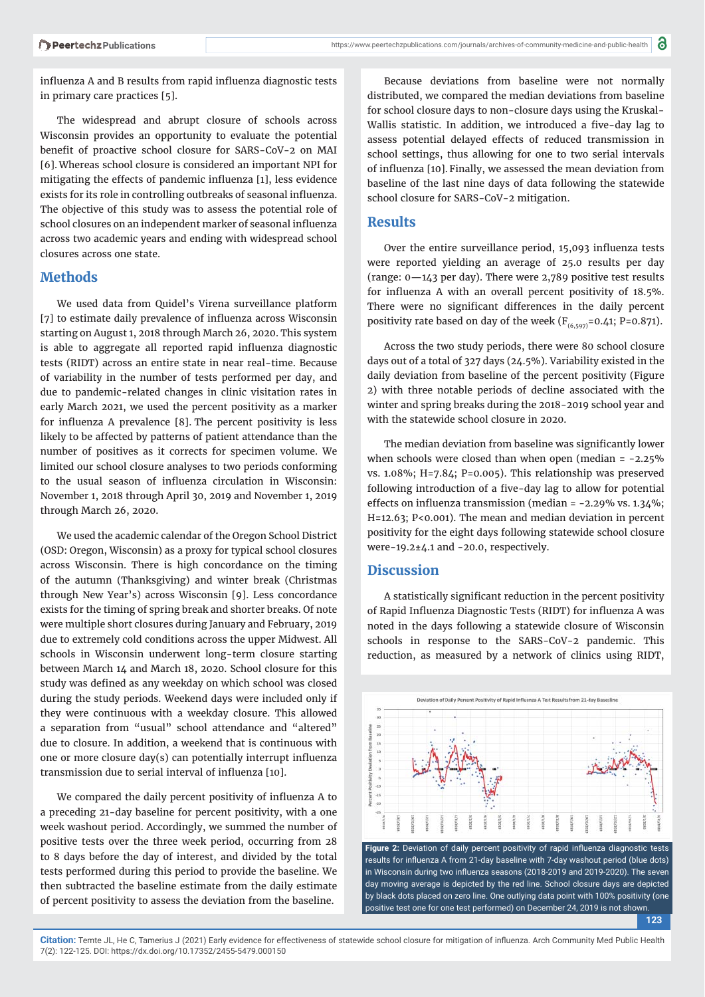influenza A and B results from rapid influenza diagnostic tests in primary care practices [5].

The widespread and abrupt closure of schools across Wisconsin provides an opportunity to evaluate the potential benefit of proactive school closure for SARS-CoV-2 on MAI [6]. Whereas school closure is considered an important NPI for mitigating the effects of pandemic influenza [1], less evidence exists for its role in controlling outbreaks of seasonal influenza. The objective of this study was to assess the potential role of school closures on an independent marker of seasonal influenza across two academic years and ending with widespread school closures across one state.

#### **Methods**

We used data from Quidel's Virena surveillance platform [7] to estimate daily prevalence of influenza across Wisconsin starting on August 1, 2018 through March 26, 2020. This system is able to aggregate all reported rapid influenza diagnostic tests (RIDT) across an entire state in near real-time. Because of variability in the number of tests performed per day, and due to pandemic-related changes in clinic visitation rates in early March 2021, we used the percent positivity as a marker for influenza A prevalence  $[8]$ . The percent positivity is less likely to be affected by patterns of patient attendance than the number of positives as it corrects for specimen volume. We limited our school closure analyses to two periods conforming to the usual season of influenza circulation in Wisconsin: November 1, 2018 through April 30, 2019 and November 1, 2019 through March 26, 2020.

We used the academic calendar of the Oregon School District (OSD: Oregon, Wisconsin) as a proxy for typical school closures across Wisconsin. There is high concordance on the timing of the autumn (Thanksgiving) and winter break (Christmas through New Year's) across Wisconsin [9]. Less concordance exists for the timing of spring break and shorter breaks. Of note were multiple short closures during January and February, 2019 due to extremely cold conditions across the upper Midwest. All schools in Wisconsin underwent long-term closure starting between March 14 and March 18, 2020. School closure for this study was defined as any weekday on which school was closed during the study periods. Weekend days were included only if they were continuous with a weekday closure. This allowed a separation from "usual" school attendance and "altered" due to closure. In addition, a weekend that is continuous with one or more closure day(s) can potentially interrupt influenza transmission due to serial interval of influenza [10].

We compared the daily percent positivity of influenza A to a preceding 21-day baseline for percent positivity, with a one week washout period. Accordingly, we summed the number of positive tests over the three week period, occurring from 28 to 8 days before the day of interest, and divided by the total tests performed during this period to provide the baseline. We then subtracted the baseline estimate from the daily estimate of percent positivity to assess the deviation from the baseline.

Because deviations from baseline were not normally distributed, we compared the median deviations from baseline for school closure days to non-closure days using the Kruskal-Wallis statistic. In addition, we introduced a five-day lag to assess potential delayed effects of reduced transmission in school settings, thus allowing for one to two serial intervals of influenza [10]. Finally, we assessed the mean deviation from baseline of the last nine days of data following the statewide school closure for SARS-CoV-2 mitigation.

#### **Results**

Over the entire surveillance period, 15,093 influenza tests were reported yielding an average of 25.0 results per day (range: 0—143 per day). There were 2,789 positive test results for influenza A with an overall percent positivity of 18.5%. There were no significant differences in the daily percent positivity rate based on day of the week ( $F_{(6,597)}$ =0.41; P=0.871).

Across the two study periods, there were 80 school closure days out of a total of 327 days (24.5%). Variability existed in the daily deviation from baseline of the percent positivity (Figure 2) with three notable periods of decline associated with the winter and spring breaks during the 2018-2019 school year and with the statewide school closure in 2020.

The median deviation from baseline was significantly lower when schools were closed than when open (median = -2.25% vs. 1.08%; H=7.84; P=0.005). This relationship was preserved following introduction of a five-day lag to allow for potential effects on influenza transmission (median =  $-2.29\%$  vs.  $1.34\%$ ; H=12.63; P<0.001). The mean and median deviation in percent positivity for the eight days following statewide school closure were-19.2±4.1 and -20.0, respectively.

#### **Discussion**

A statistically significant reduction in the percent positivity of Rapid Influenza Diagnostic Tests (RIDT) for influenza A was noted in the days following a statewide closure of Wisconsin schools in response to the SARS-CoV-2 pandemic. This reduction, as measured by a network of clinics using RIDT,



**123** in Wisconsin during two influenza seasons (2018-2019 and 2019-2020). The seven day moving average is depicted by the red line. School closure days are depicted by black dots placed on zero line. One outlying data point with 100% positivity (one positive test one for one test performed) on December 24, 2019 is not shown.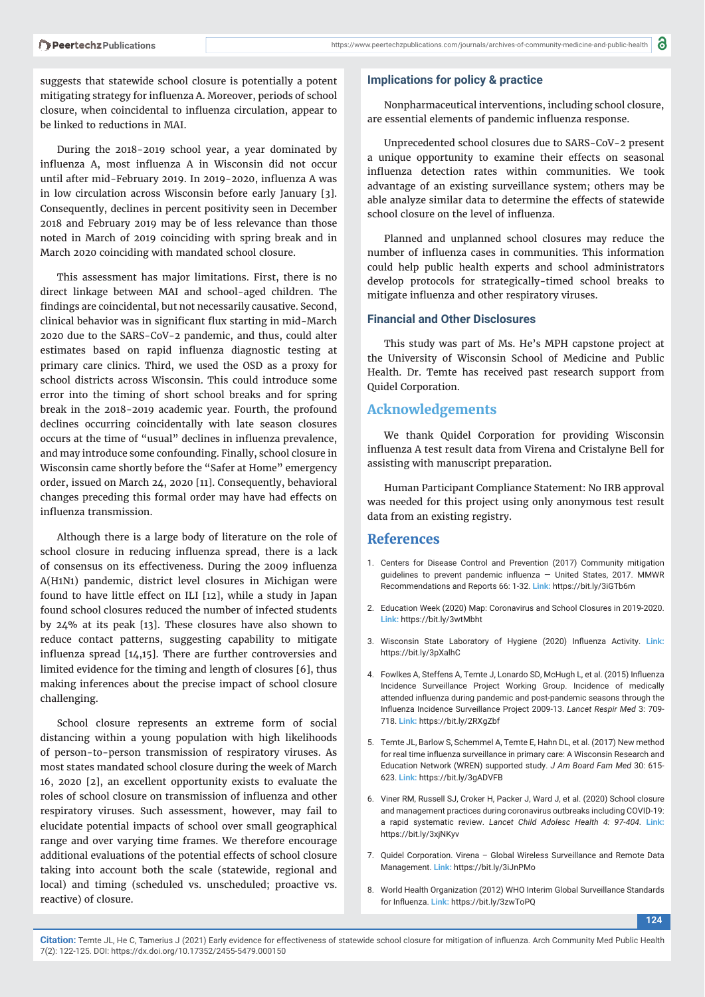suggests that statewide school closure is potentially a potent mitigating strategy for influenza A. Moreover, periods of school closure, when coincidental to influenza circulation, appear to be linked to reductions in MAI.

During the 2018-2019 school year, a year dominated by influenza A, most influenza A in Wisconsin did not occur until after mid-February 2019. In 2019-2020, influenza A was in low circulation across Wisconsin before early January [3]. Consequently, declines in percent positivity seen in December 2018 and February 2019 may be of less relevance than those noted in March of 2019 coinciding with spring break and in March 2020 coinciding with mandated school closure.

This assessment has major limitations. First, there is no direct linkage between MAI and school-aged children. The findings are coincidental, but not necessarily causative. Second, clinical behavior was in significant flux starting in mid-March 2020 due to the SARS-CoV-2 pandemic, and thus, could alter estimates based on rapid influenza diagnostic testing at primary care clinics. Third, we used the OSD as a proxy for school districts across Wisconsin. This could introduce some error into the timing of short school breaks and for spring break in the 2018-2019 academic year. Fourth, the profound declines occurring coincidentally with late season closures occurs at the time of "usual" declines in influenza prevalence, and may introduce some confounding. Finally, school closure in Wisconsin came shortly before the "Safer at Home" emergency order, issued on March 24, 2020 [11]. Consequently, behavioral changes preceding this formal order may have had effects on influenza transmission.

Although there is a large body of literature on the role of school closure in reducing influenza spread, there is a lack of consensus on its effectiveness. During the 2009 influenza A(H1N1) pandemic, district level closures in Michigan were found to have little effect on ILI [12], while a study in Japan found school closures reduced the number of infected students by 24% at its peak [13]. These closures have also shown to reduce contact patterns, suggesting capability to mitigate influenza spread  $[14,15]$ . There are further controversies and limited evidence for the timing and length of closures [6], thus making inferences about the precise impact of school closure challenging.

School closure represents an extreme form of social distancing within a young population with high likelihoods of person-to-person transmission of respiratory viruses. As most states mandated school closure during the week of March 16, 2020 [2], an excellent opportunity exists to evaluate the roles of school closure on transmission of influenza and other respiratory viruses. Such assessment, however, may fail to elucidate potential impacts of school over small geographical range and over varying time frames. We therefore encourage additional evaluations of the potential effects of school closure taking into account both the scale (statewide, regional and local) and timing (scheduled vs. unscheduled; proactive vs. reactive) of closure.

#### **Implications for policy & practice**

Nonpharmaceutical interventions, including school closure, are essential elements of pandemic influenza response.

Unprecedented school closures due to SARS-CoV-2 present a unique opportunity to examine their effects on seasonal influenza detection rates within communities. We took advantage of an existing surveillance system; others may be able analyze similar data to determine the effects of statewide school closure on the level of influenza.

Planned and unplanned school closures may reduce the number of influenza cases in communities. This information could help public health experts and school administrators develop protocols for strategically-timed school breaks to mitigate influenza and other respiratory viruses.

#### **Financial and Other Disclosures**

This study was part of Ms. He's MPH capstone project at the University of Wisconsin School of Medicine and Public Health. Dr. Temte has received past research support from Quidel Corporation.

#### **Acknowledgements**

We thank Quidel Corporation for providing Wisconsin influenza A test result data from Virena and Cristalyne Bell for assisting with manuscript preparation.

Human Participant Compliance Statement: No IRB approval was needed for this project using only anonymous test result data from an existing registry.

#### **References**

- 1. Centers for Disease Control and Prevention (2017) Community mitigation guidelines to prevent pandemic influenza  $-$  United States, 2017. MMWR Recommendations and Reports 66: 1-32. **Link:** https://bit.ly/3iGTb6m
- 2. Education Week (2020) Map: Coronavirus and School Closures in 2019-2020. **Link:** https://bit.ly/3wtMbht
- 3. Wisconsin State Laboratory of Hygiene (2020) Influenza Activity. Link: https://bit.ly/3pXalhC
- 4. Fowlkes A, Steffens A, Temte J, Lonardo SD, McHugh L, et al. (2015) Influenza Incidence Surveillance Project Working Group. Incidence of medically attended influenza during pandemic and post-pandemic seasons through the Infl uenza Incidence Surveillance Project 2009-13. *Lancet Respir Med* 3: 709- 718. **Link:** https://bit.ly/2RXgZbf
- 5. Temte JL, Barlow S, Schemmel A, Temte E, Hahn DL, et al. (2017) New method for real time influenza surveillance in primary care: A Wisconsin Research and Education Network (WREN) supported study. *J Am Board Fam Med* 30: 615- 623. **Link:** https://bit.ly/3gADVFB
- 6. Viner RM, Russell SJ, Croker H, Packer J, Ward J, et al. (2020) School closure and management practices during coronavirus outbreaks including COVID-19: a rapid systematic review. *Lancet Child Adolesc Health 4: 97-404.* **Link:** https://bit.ly/3xjNKyv
- 7. Quidel Corporation. Virena Global Wireless Surveillance and Remote Data Management. **Link:** https://bit.ly/3iJnPMo
- 8. World Health Organization (2012) WHO Interim Global Surveillance Standards for Influenza. Link: https://bit.ly/3zwToPO

**124**